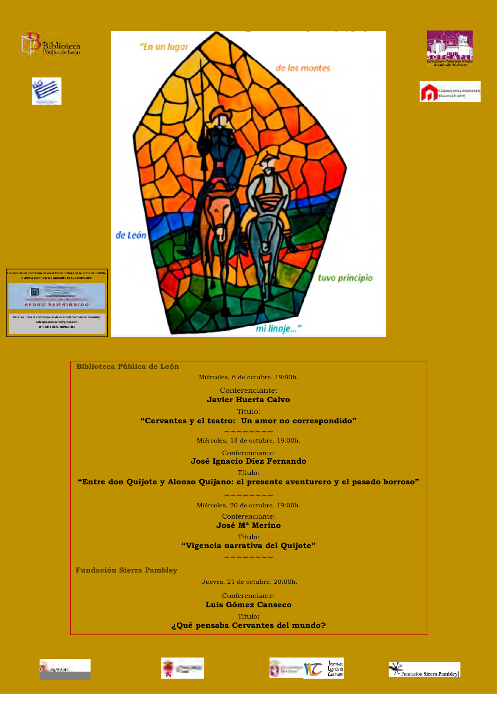

Biblioteca Pública de León

Miércoles, 6 de octubre. 19:00h.

Conferenciante: **Javier Huerta Calvo** 

Título:

"Cervantes y el teatro: Un amor no correspondido"

Miércoles, 13 de octubre. 19:00h.

Conferenciante: José Ignacio Díez Fernando

Título:

"Entre don Quijote y Alonso Quijano: el presente aventurero y el pasado borroso"

Miércoles, 20 de octubre. 19:00h.

Conferenciante: José M<sup>a</sup> Merino

Título:

"Vigencia narrativa del Quijote"

**Fundación Sierra Pambley** 

Jueves, 21 de octubre. 20:00h.

Conferenciante:

Luis Gómez Canseco

Título:

¿Qué pensaba Cervantes del mundo?







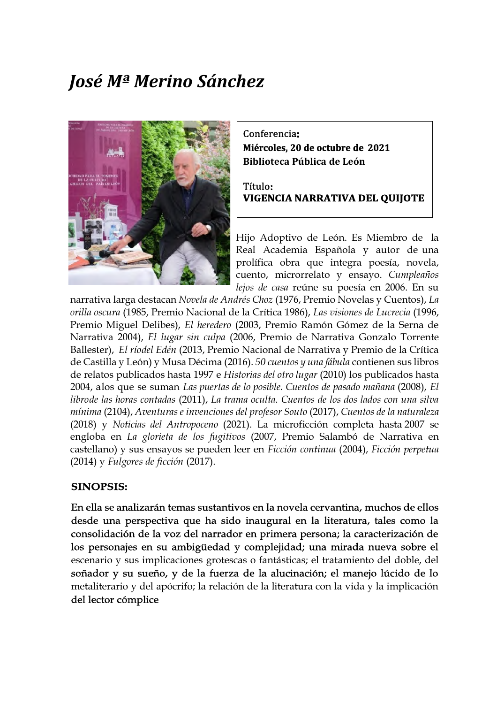## José Mª Merino Sánchez



Conferencia: Miércoles, 20 de octubre de 2021 **Biblioteca Pública de León** 

Título: VIGENCIA NARRATIVA DEL QUIJOTE

Hijo Adoptivo de León. Es Miembro de la Real Academia Española y autor de una prolífica obra que integra poesía, novela, cuento, microrrelato y ensayo. Cumpleaños lejos de casa reúne su poesía en 2006. En su

narrativa larga destacan Novela de Andrés Choz (1976, Premio Novelas y Cuentos), La orilla oscura (1985, Premio Nacional de la Crítica 1986), Las visiones de Lucrecia (1996, Premio Miguel Delibes), El heredero (2003, Premio Ramón Gómez de la Serna de Narrativa 2004), El lugar sin culpa (2006, Premio de Narrativa Gonzalo Torrente Ballester), El ríodel Edén (2013, Premio Nacional de Narrativa y Premio de la Crítica de Castilla y León) y Musa Décima (2016). 50 cuentos y una fábula contienen sus libros de relatos publicados hasta 1997 e Historias del otro lugar (2010) los publicados hasta 2004, alos que se suman Las puertas de lo posible. Cuentos de pasado mañana (2008), El librode las horas contadas (2011), La trama oculta. Cuentos de los dos lados con una silva mínima (2104), Aventuras e invenciones del profesor Souto (2017), Cuentos de la naturaleza (2018) y Noticias del Antropoceno (2021). La microficción completa hasta 2007 se engloba en La glorieta de los fugitivos (2007, Premio Salambó de Narrativa en castellano) y sus ensayos se pueden leer en Ficción continua (2004), Ficción perpetua  $(2014)$  y Fulgores de ficción  $(2017)$ .

## **SINOPSIS:**

En ella se analizarán temas sustantivos en la novela cervantina, muchos de ellos desde una perspectiva que ha sido inaugural en la literatura, tales como la consolidación de la voz del narrador en primera persona; la caracterización de los personajes en su ambigüedad y complejidad; una mirada nueva sobre el escenario y sus implicaciones grotescas o fantásticas; el tratamiento del doble, del soñador y su sueño, y de la fuerza de la alucinación; el manejo lúcido de lo metaliterario y del apócrifo; la relación de la literatura con la vida y la implicación del lector cómplice